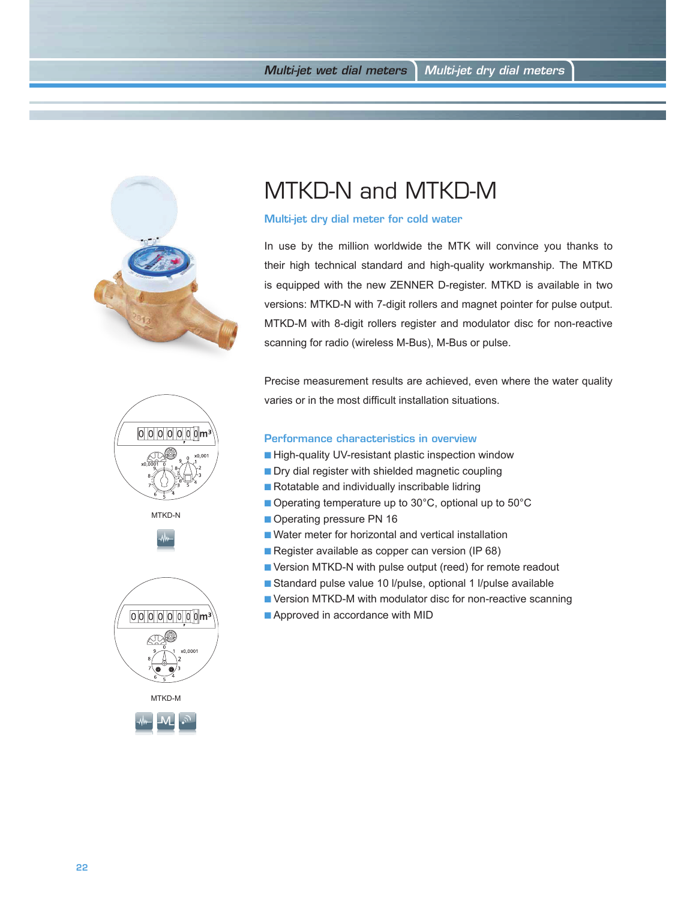

## MTKD-N and MTKD-M

## Multi-jet dry dial meter for cold water

In use by the million worldwide the MTK will convince you thanks to their high technical standard and high-quality workmanship. The MTKD is equipped with the new ZENNER D-register. MTKD is available in two versions: MTKD-N with 7-digit rollers and magnet pointer for pulse output. MTKD-M with 8-digit rollers register and modulator disc for non-reactive scanning for radio (wireless M-Bus), M-Bus or pulse.

Precise measurement results are achieved, even where the water quality varies or in the most difficult installation situations.

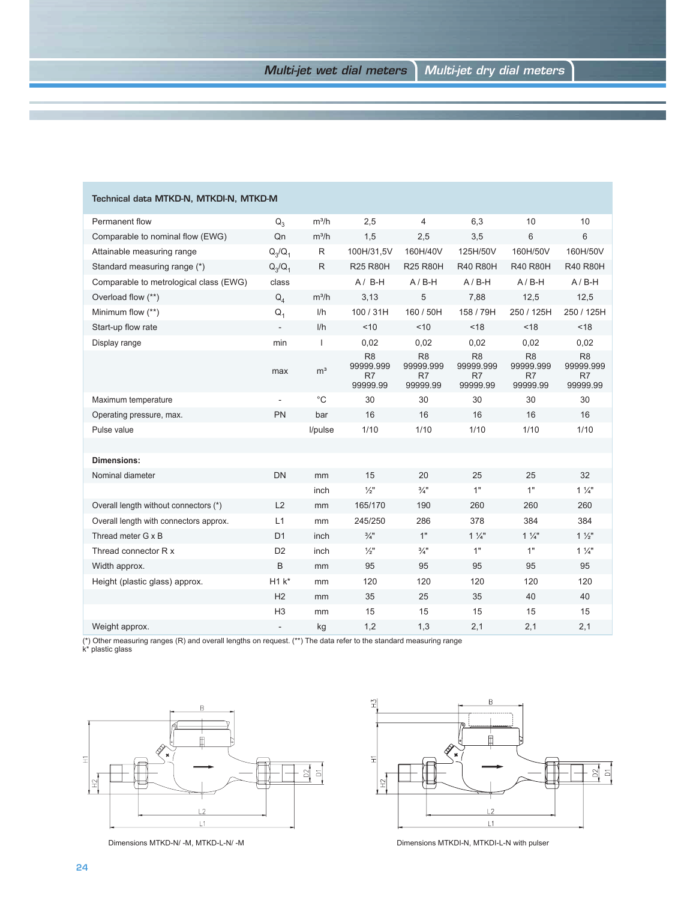| Technical data MTKD-N, MTKDI-N, MTKD-M |                |                |                                               |                                               |                                               |                                               |                                               |
|----------------------------------------|----------------|----------------|-----------------------------------------------|-----------------------------------------------|-----------------------------------------------|-----------------------------------------------|-----------------------------------------------|
| Permanent flow                         | $Q_{3}$        | $m^3/h$        | 2,5                                           | 4                                             | 6,3                                           | 10                                            | 10                                            |
| Comparable to nominal flow (EWG)       | Qn             | $m^3/h$        | 1,5                                           | 2,5                                           | 3,5                                           | 6                                             | 6                                             |
| Attainable measuring range             | $Q_3/Q_1$      | R              | 100H/31,5V                                    | 160H/40V                                      | 125H/50V                                      | 160H/50V                                      | 160H/50V                                      |
| Standard measuring range (*)           | $Q_3/Q_1$      | R              | <b>R25 R80H</b>                               | <b>R25 R80H</b>                               | <b>R40 R80H</b>                               | <b>R40 R80H</b>                               | <b>R40 R80H</b>                               |
| Comparable to metrological class (EWG) | class          |                | $A / B-H$                                     | $A/B-H$                                       | $A/B-H$                                       | $A/B-H$                                       | $A/B-H$                                       |
| Overload flow (**)                     | $Q_4$          | $m^3/h$        | 3,13                                          | 5                                             | 7,88                                          | 12,5                                          | 12,5                                          |
| Minimum flow (**)                      | $Q_1$          | 1/h            | 100/31H                                       | 160 / 50H                                     | 158 / 79H                                     | 250 / 125H                                    | 250 / 125H                                    |
| Start-up flow rate                     |                | I/h            | < 10                                          | < 10                                          | < 18                                          | < 18                                          | < 18                                          |
| Display range                          | min            | $\mathbf{I}$   | 0,02                                          | 0,02                                          | 0,02                                          | 0,02                                          | 0,02                                          |
|                                        | max            | m <sup>3</sup> | R <sub>8</sub><br>99999.999<br>R7<br>99999.99 | R <sub>8</sub><br>99999.999<br>R7<br>99999.99 | R <sub>8</sub><br>99999.999<br>R7<br>99999.99 | R <sub>8</sub><br>99999.999<br>R7<br>99999.99 | R <sub>8</sub><br>99999.999<br>R7<br>99999.99 |
| Maximum temperature                    |                | $^{\circ}$ C   | 30                                            | 30                                            | 30                                            | 30                                            | 30                                            |
| Operating pressure, max.               | PN             | bar            | 16                                            | 16                                            | 16                                            | 16                                            | 16                                            |
| Pulse value                            |                | l/pulse        | 1/10                                          | 1/10                                          | 1/10                                          | 1/10                                          | 1/10                                          |
|                                        |                |                |                                               |                                               |                                               |                                               |                                               |
| <b>Dimensions:</b>                     |                |                |                                               |                                               |                                               |                                               |                                               |
| Nominal diameter                       | <b>DN</b>      | mm             | 15                                            | 20                                            | 25                                            | 25                                            | 32                                            |
|                                        |                | inch           | $\frac{1}{2}$                                 | $\frac{3}{4}$ "                               | 1"                                            | 1"                                            | $1\frac{1}{4}$                                |
| Overall length without connectors (*)  | L2             | mm             | 165/170                                       | 190                                           | 260                                           | 260                                           | 260                                           |
| Overall length with connectors approx. | L1             | mm             | 245/250                                       | 286                                           | 378                                           | 384                                           | 384                                           |
| Thread meter G x B                     | D <sub>1</sub> | inch           | $\frac{3}{4}$ "                               | 1"                                            | $1\frac{1}{4}$                                | $1\frac{1}{4}$                                | $1\frac{1}{2}$                                |
| Thread connector R x                   | D <sub>2</sub> | inch           | $\frac{1}{2}$                                 | $\frac{3}{4}$ "                               | 1"                                            | 1"                                            | $1\frac{1}{4}$                                |
| Width approx.                          | B              | mm             | 95                                            | 95                                            | 95                                            | 95                                            | 95                                            |
| Height (plastic glass) approx.         | $H1k^*$        | mm             | 120                                           | 120                                           | 120                                           | 120                                           | 120                                           |
|                                        | H2             | mm             | 35                                            | 25                                            | 35                                            | 40                                            | 40                                            |
|                                        | H <sub>3</sub> | mm             | 15                                            | 15                                            | 15                                            | 15                                            | 15                                            |
| Weight approx.                         |                | kg             | 1,2                                           | 1,3                                           | 2,1                                           | 2,1                                           | 2,1                                           |

(\*) Other measuring ranges (R) and overall lengths on request. (\*\*) The data refer to the standard measuring range k\* plastic glass

![](_page_1_Figure_4.jpeg)

![](_page_1_Figure_6.jpeg)

Dimensions MTKD-N/ -M, MTKD-L-N/ -M Dimensions MTKDI-N, MTKDI-L-N with pulser